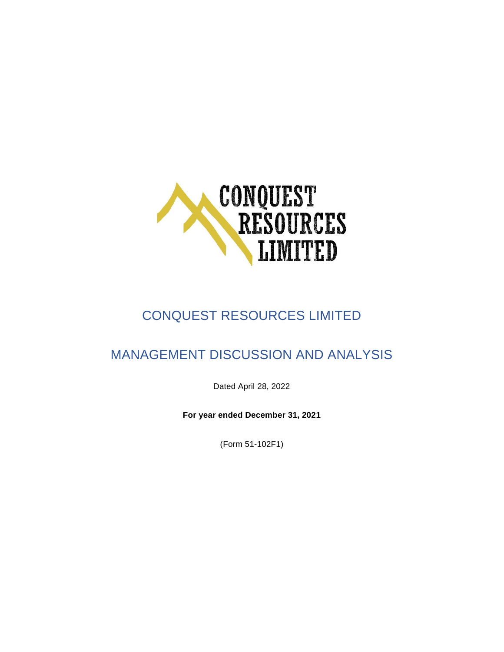

# CONQUEST RESOURCES LIMITED

## MANAGEMENT DISCUSSION AND ANALYSIS

Dated April 28, 2022

**For year ended December 31, 2021**

(Form 51-102F1)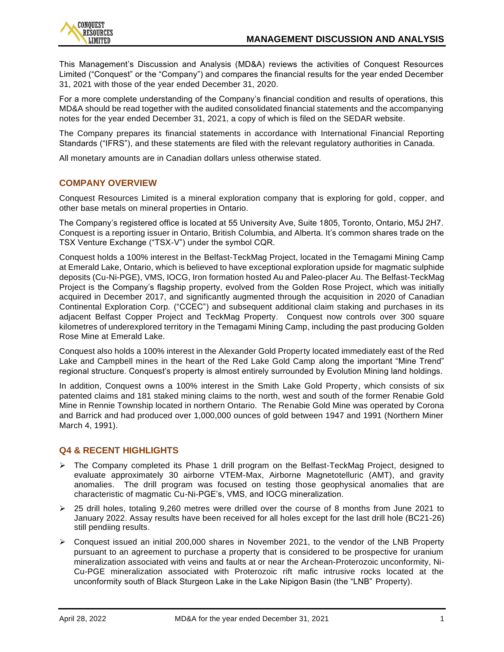

This Management's Discussion and Analysis (MD&A) reviews the activities of Conquest Resources Limited ("Conquest" or the "Company") and compares the financial results for the year ended December 31, 2021 with those of the year ended December 31, 2020.

For a more complete understanding of the Company's financial condition and results of operations, this MD&A should be read together with the audited consolidated financial statements and the accompanying notes for the year ended December 31, 2021, a copy of which is filed on the SEDAR website.

The Company prepares its financial statements in accordance with International Financial Reporting Standards ("IFRS"), and these statements are filed with the relevant regulatory authorities in Canada.

All monetary amounts are in Canadian dollars unless otherwise stated.

## **COMPANY OVERVIEW**

Conquest Resources Limited is a mineral exploration company that is exploring for gold, copper, and other base metals on mineral properties in Ontario.

The Company's registered office is located at 55 University Ave, Suite 1805, Toronto, Ontario, M5J 2H7. Conquest is a reporting issuer in Ontario, British Columbia, and Alberta. It's common shares trade on the TSX Venture Exchange ("TSX-V") under the symbol CQR.

Conquest holds a 100% interest in the Belfast-TeckMag Project, located in the Temagami Mining Camp at Emerald Lake, Ontario, which is believed to have exceptional exploration upside for magmatic sulphide deposits (Cu-Ni-PGE), VMS, IOCG, Iron formation hosted Au and Paleo-placer Au. The Belfast-TeckMag Project is the Company's flagship property, evolved from the Golden Rose Project, which was initially acquired in December 2017, and significantly augmented through the acquisition in 2020 of Canadian Continental Exploration Corp. ("CCEC") and subsequent additional claim staking and purchases in its adjacent Belfast Copper Project and TeckMag Property. Conquest now controls over 300 square kilometres of underexplored territory in the Temagami Mining Camp, including the past producing Golden Rose Mine at Emerald Lake.

Conquest also holds a 100% interest in the Alexander Gold Property located immediately east of the Red Lake and Campbell mines in the heart of the Red Lake Gold Camp along the important "Mine Trend" regional structure. Conquest's property is almost entirely surrounded by Evolution Mining land holdings.

In addition, Conquest owns a 100% interest in the Smith Lake Gold Property, which consists of six patented claims and 181 staked mining claims to the north, west and south of the former Renabie Gold Mine in Rennie Township located in northern Ontario. The Renabie Gold Mine was operated by Corona and Barrick and had produced over 1,000,000 ounces of gold between 1947 and 1991 (Northern Miner March 4, 1991).

## **Q4 & RECENT HIGHLIGHTS**

- ➢ The Company completed its Phase 1 drill program on the Belfast-TeckMag Project, designed to evaluate approximately 30 airborne VTEM-Max, Airborne Magnetotelluric (AMT), and gravity anomalies. The drill program was focused on testing those geophysical anomalies that are characteristic of magmatic Cu-Ni-PGE's, VMS, and IOCG mineralization.
- $\geq$  25 drill holes, totaling 9.260 metres were drilled over the course of 8 months from June 2021 to January 2022. Assay results have been received for all holes except for the last drill hole (BC21-26) still pendiing results.
- ➢ Conquest issued an initial 200,000 shares in November 2021, to the vendor of the LNB Property pursuant to an agreement to purchase a property that is considered to be prospective for uranium mineralization associated with veins and faults at or near the Archean-Proterozoic unconformity, Ni-Cu-PGE mineralization associated with Proterozoic rift mafic intrusive rocks located at the unconformity south of Black Sturgeon Lake in the Lake Nipigon Basin (the "LNB" Property).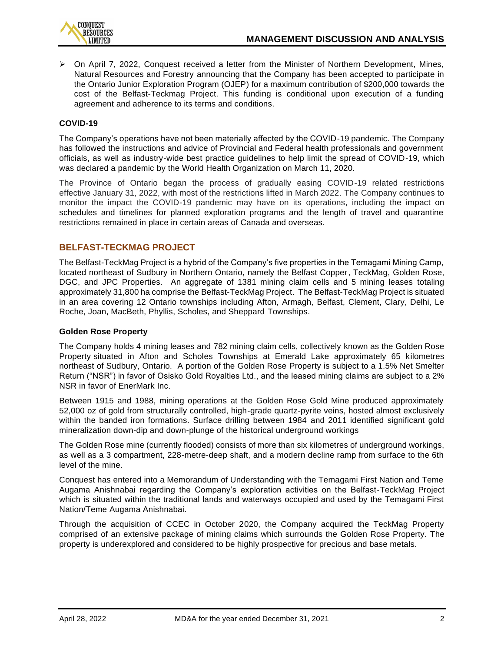

 $\triangleright$  On April 7, 2022, Conquest received a letter from the Minister of Northern Development, Mines, Natural Resources and Forestry announcing that the Company has been accepted to participate in the Ontario Junior Exploration Program (OJEP) for a maximum contribution of \$200,000 towards the cost of the Belfast-Teckmag Project. This funding is conditional upon execution of a funding agreement and adherence to its terms and conditions.

## **COVID-19**

The Company's operations have not been materially affected by the COVID-19 pandemic. The Company has followed the instructions and advice of Provincial and Federal health professionals and government officials, as well as industry-wide best practice guidelines to help limit the spread of COVID-19, which was declared a pandemic by the World Health Organization on March 11, 2020.

The Province of Ontario began the process of gradually easing COVID-19 related restrictions effective January 31, 2022, with most of the restrictions lifted in March 2022. The Company continues to monitor the impact the COVID-19 pandemic may have on its operations, including the impact on schedules and timelines for planned exploration programs and the length of travel and quarantine restrictions remained in place in certain areas of Canada and overseas.

## **BELFAST-TECKMAG PROJECT**

The Belfast-TeckMag Project is a hybrid of the Company's five properties in the Temagami Mining Camp, located northeast of Sudbury in Northern Ontario, namely the Belfast Copper, TeckMag, Golden Rose, DGC, and JPC Properties. An aggregate of 1381 mining claim cells and 5 mining leases totaling approximately 31,800 ha comprise the Belfast-TeckMag Project. The Belfast-TeckMag Project is situated in an area covering 12 Ontario townships including Afton, Armagh, Belfast, Clement, Clary, Delhi, Le Roche, Joan, MacBeth, Phyllis, Scholes, and Sheppard Townships.

#### **Golden Rose Property**

The Company holds 4 mining leases and 782 mining claim cells, collectively known as the Golden Rose Property situated in Afton and Scholes Townships at Emerald Lake approximately 65 kilometres northeast of Sudbury, Ontario. A portion of the Golden Rose Property is subject to a 1.5% Net Smelter Return ("NSR") in favor of Osisko Gold Royalties Ltd., and the leased mining claims are subject to a 2% NSR in favor of EnerMark Inc.

Between 1915 and 1988, mining operations at the Golden Rose Gold Mine produced approximately 52,000 oz of gold from structurally controlled, high-grade quartz-pyrite veins, hosted almost exclusively within the banded iron formations. Surface drilling between 1984 and 2011 identified significant gold mineralization down-dip and down-plunge of the historical underground workings

The Golden Rose mine (currently flooded) consists of more than six kilometres of underground workings, as well as a 3 compartment, 228-metre-deep shaft, and a modern decline ramp from surface to the 6th level of the mine.

Conquest has entered into a Memorandum of Understanding with the Temagami First Nation and Teme Augama Anishnabai regarding the Company's exploration activities on the Belfast-TeckMag Project which is situated within the traditional lands and waterways occupied and used by the Temagami First Nation/Teme Augama Anishnabai.

Through the acquisition of CCEC in October 2020, the Company acquired the TeckMag Property comprised of an extensive package of mining claims which surrounds the Golden Rose Property. The property is underexplored and considered to be highly prospective for precious and base metals.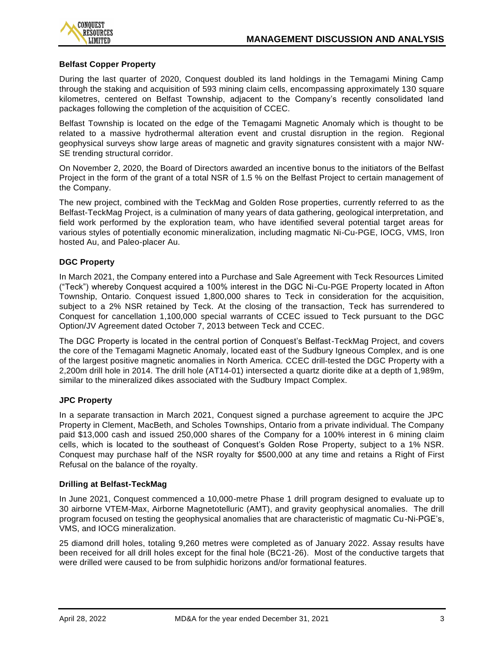

## **Belfast Copper Property**

During the last quarter of 2020, Conquest doubled its land holdings in the Temagami Mining Camp through the staking and acquisition of 593 mining claim cells, encompassing approximately 130 square kilometres, centered on Belfast Township, adjacent to the Company's recently consolidated land packages following the completion of the acquisition of CCEC.

Belfast Township is located on the edge of the Temagami Magnetic Anomaly which is thought to be related to a massive hydrothermal alteration event and crustal disruption in the region. Regional geophysical surveys show large areas of magnetic and gravity signatures consistent with a major NW-SE trending structural corridor.

On November 2, 2020, the Board of Directors awarded an incentive bonus to the initiators of the Belfast Project in the form of the grant of a total NSR of 1.5 % on the Belfast Project to certain management of the Company.

The new project, combined with the TeckMag and Golden Rose properties, currently referred to as the Belfast-TeckMag Project, is a culmination of many years of data gathering, geological interpretation, and field work performed by the exploration team, who have identified several potential target areas for various styles of potentially economic mineralization, including magmatic Ni-Cu-PGE, IOCG, VMS, Iron hosted Au, and Paleo-placer Au.

## **DGC Property**

In March 2021, the Company entered into a Purchase and Sale Agreement with Teck Resources Limited ("Teck") whereby Conquest acquired a 100% interest in the DGC Ni-Cu-PGE Property located in Afton Township, Ontario. Conquest issued 1,800,000 shares to Teck in consideration for the acquisition, subject to a 2% NSR retained by Teck. At the closing of the transaction, Teck has surrendered to Conquest for cancellation 1,100,000 special warrants of CCEC issued to Teck pursuant to the DGC Option/JV Agreement dated October 7, 2013 between Teck and CCEC.

The DGC Property is located in the central portion of Conquest's Belfast-TeckMag Project, and covers the core of the Temagami Magnetic Anomaly, located east of the Sudbury Igneous Complex, and is one of the largest positive magnetic anomalies in North America. CCEC drill-tested the DGC Property with a 2,200m drill hole in 2014. The drill hole (AT14-01) intersected a quartz diorite dike at a depth of 1,989m, similar to the mineralized dikes associated with the Sudbury Impact Complex.

#### **JPC Property**

In a separate transaction in March 2021, Conquest signed a purchase agreement to acquire the JPC Property in Clement, MacBeth, and Scholes Townships, Ontario from a private individual. The Company paid \$13,000 cash and issued 250,000 shares of the Company for a 100% interest in 6 mining claim cells, which is located to the southeast of Conquest's Golden Rose Property, subject to a 1% NSR. Conquest may purchase half of the NSR royalty for \$500,000 at any time and retains a Right of First Refusal on the balance of the royalty.

#### **Drilling at Belfast-TeckMag**

In June 2021, Conquest commenced a 10,000-metre Phase 1 drill program designed to evaluate up to 30 airborne VTEM-Max, Airborne Magnetotelluric (AMT), and gravity geophysical anomalies. The drill program focused on testing the geophysical anomalies that are characteristic of magmatic Cu-Ni-PGE's, VMS, and IOCG mineralization.

25 diamond drill holes, totaling 9,260 metres were completed as of January 2022. Assay results have been received for all drill holes except for the final hole (BC21-26). Most of the conductive targets that were drilled were caused to be from sulphidic horizons and/or formational features.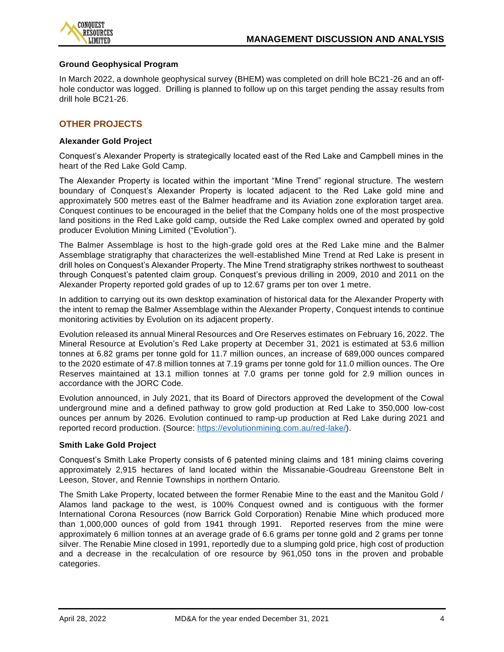

#### **Ground Geophysical Program**

In March 2022, a downhole geophysical survey (BHEM) was completed on drill hole BC21-26 and an offhole conductor was logged. Drilling is planned to follow up on this target pending the assay results from drill hole BC21-26.

## **OTHER PROJECTS**

#### **Alexander Gold Project**

Conquest's Alexander Property is strategically located east of the Red Lake and Campbell mines in the heart of the Red Lake Gold Camp.

The Alexander Property is located within the important "Mine Trend" regional structure. The western boundary of Conquest's Alexander Property is located adjacent to the Red Lake gold mine and approximately 500 metres east of the Balmer headframe and its Aviation zone exploration target area. Conquest continues to be encouraged in the belief that the Company holds one of the most prospective land positions in the Red Lake gold camp, outside the Red Lake complex owned and operated by gold producer Evolution Mining Limited ("Evolution").

The Balmer Assemblage is host to the high-grade gold ores at the Red Lake mine and the Balmer Assemblage stratigraphy that characterizes the well-established Mine Trend at Red Lake is present in drill holes on Conquest's Alexander Property. The Mine Trend stratigraphy strikes northwest to southeast through Conquest's patented claim group. Conquest's previous drilling in 2009, 2010 and 2011 on the Alexander Property reported gold grades of up to 12.67 grams per ton over 1 metre.

In addition to carrying out its own desktop examination of historical data for the Alexander Property with the intent to remap the Balmer Assemblage within the Alexander Property, Conquest intends to continue monitoring activities by Evolution on its adjacent property.

Evolution released its annual Mineral Resources and Ore Reserves estimates on February 16, 2022. The Mineral Resource at Evolution's Red Lake property at December 31, 2021 is estimated at 53.6 million tonnes at 6.82 grams per tonne gold for 11.7 million ounces, an increase of 689,000 ounces compared to the 2020 estimate of 47.8 million tonnes at 7.19 grams per tonne gold for 11.0 million ounces. The Ore Reserves maintained at 13.1 million tonnes at 7.0 grams per tonne gold for 2.9 million ounces in accordance with the JORC Code.

Evolution announced, in July 2021, that its Board of Directors approved the development of the Cowal underground mine and a defined pathway to grow gold production at Red Lake to 350,000 low-cost ounces per annum by 2026. Evolution continued to ramp-up production at Red Lake during 2021 and reported record production. (Source: [https://evolutionmining.com.au/red-lake/\)](https://evolutionmining.com.au/red-lake/).

#### **Smith Lake Gold Project**

Conquest's Smith Lake Property consists of 6 patented mining claims and 181 mining claims covering approximately 2,915 hectares of land located within the Missanabie-Goudreau Greenstone Belt in Leeson, Stover, and Rennie Townships in northern Ontario.

The Smith Lake Property, located between the former Renabie Mine to the east and the Manitou Gold / Alamos land package to the west, is 100% Conquest owned and is contiguous with the former International Corona Resources (now Barrick Gold Corporation) Renabie Mine which produced more than 1,000,000 ounces of gold from 1941 through 1991. Reported reserves from the mine were approximately 6 million tonnes at an average grade of 6.6 grams per tonne gold and 2 grams per tonne silver. The Renabie Mine closed in 1991, reportedly due to a slumping gold price, high cost of production and a decrease in the recalculation of ore resource by 961,050 tons in the proven and probable categories.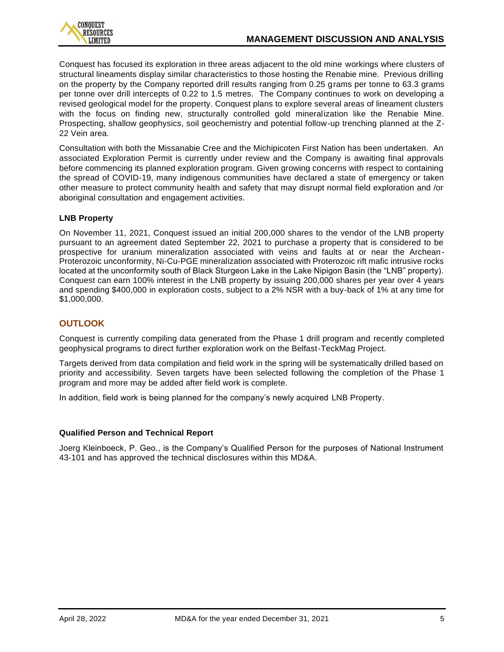

Conquest has focused its exploration in three areas adjacent to the old mine workings where clusters of structural lineaments display similar characteristics to those hosting the Renabie mine. Previous drilling on the property by the Company reported drill results ranging from 0.25 grams per tonne to 63.3 grams per tonne over drill intercepts of 0.22 to 1.5 metres. The Company continues to work on developing a revised geological model for the property. Conquest plans to explore several areas of lineament clusters with the focus on finding new, structurally controlled gold mineralization like the Renabie Mine. Prospecting, shallow geophysics, soil geochemistry and potential follow-up trenching planned at the Z-22 Vein area.

Consultation with both the Missanabie Cree and the Michipicoten First Nation has been undertaken. An associated Exploration Permit is currently under review and the Company is awaiting final approvals before commencing its planned exploration program. Given growing concerns with respect to containing the spread of COVID-19, many indigenous communities have declared a state of emergency or taken other measure to protect community health and safety that may disrupt normal field exploration and /or aboriginal consultation and engagement activities.

## **LNB Property**

On November 11, 2021, Conquest issued an initial 200,000 shares to the vendor of the LNB property pursuant to an agreement dated September 22, 2021 to purchase a property that is considered to be prospective for uranium mineralization associated with veins and faults at or near the Archean-Proterozoic unconformity, Ni-Cu-PGE mineralization associated with Proterozoic rift mafic intrusive rocks located at the unconformity south of Black Sturgeon Lake in the Lake Nipigon Basin (the "LNB" property). Conquest can earn 100% interest in the LNB property by issuing 200,000 shares per year over 4 years and spending \$400,000 in exploration costs, subject to a 2% NSR with a buy-back of 1% at any time for \$1,000,000.

## **OUTLOOK**

Conquest is currently compiling data generated from the Phase 1 drill program and recently completed geophysical programs to direct further exploration work on the Belfast-TeckMag Project.

Targets derived from data compilation and field work in the spring will be systematically drilled based on priority and accessibility. Seven targets have been selected following the completion of the Phase 1 program and more may be added after field work is complete.

In addition, field work is being planned for the company's newly acquired LNB Property.

## **Qualified Person and Technical Report**

Joerg Kleinboeck, P. Geo., is the Company's Qualified Person for the purposes of National Instrument 43-101 and has approved the technical disclosures within this MD&A.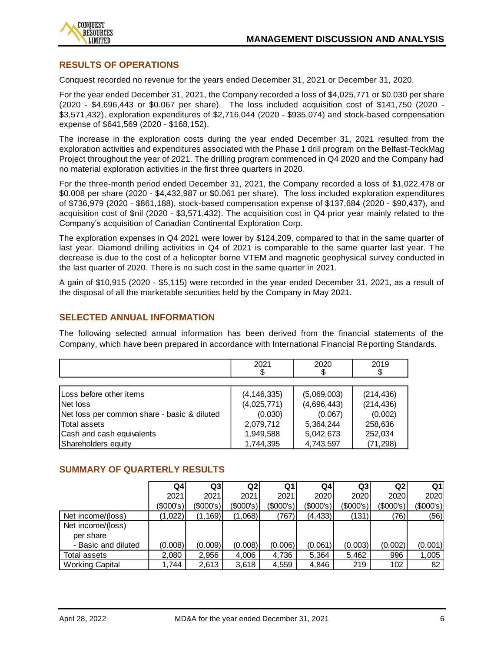

## **RESULTS OF OPERATIONS**

Conquest recorded no revenue for the years ended December 31, 2021 or December 31, 2020.

For the year ended December 31, 2021, the Company recorded a loss of \$4,025,771 or \$0.030 per share (2020 - \$4,696,443 or \$0.067 per share). The loss included acquisition cost of \$141,750 (2020 - \$3,571,432), exploration expenditures of \$2,716,044 (2020 - \$935,074) and stock-based compensation expense of \$641,569 (2020 - \$168,152).

The increase in the exploration costs during the year ended December 31, 2021 resulted from the exploration activities and expenditures associated with the Phase 1 drill program on the Belfast-TeckMag Project throughout the year of 2021. The drilling program commenced in Q4 2020 and the Company had no material exploration activities in the first three quarters in 2020.

For the three-month period ended December 31, 2021, the Company recorded a loss of \$1,022,478 or \$0.008 per share (2020 - \$4,432,987 or \$0.061 per share). The loss included exploration expenditures of \$736,979 (2020 - \$861,188), stock-based compensation expense of \$137,684 (2020 - \$90,437), and acquisition cost of \$nil (2020 - \$3,571,432). The acquisition cost in Q4 prior year mainly related to the Company's acquisition of Canadian Continental Exploration Corp.

The exploration expenses in Q4 2021 were lower by \$124,209, compared to that in the same quarter of last year. Diamond drilling activities in Q4 of 2021 is comparable to the same quarter last year. The decrease is due to the cost of a helicopter borne VTEM and magnetic geophysical survey conducted in the last quarter of 2020. There is no such cost in the same quarter in 2021.

A gain of \$10,915 (2020 - \$5,115) were recorded in the year ended December 31, 2021, as a result of the disposal of all the marketable securities held by the Company in May 2021.

## **SELECTED ANNUAL INFORMATION**

The following selected annual information has been derived from the financial statements of the Company, which have been prepared in accordance with International Financial Reporting Standards.

|                                             | 2021<br>\$    | 2020<br>\$  | 2019<br>\$ |
|---------------------------------------------|---------------|-------------|------------|
|                                             |               |             |            |
| Loss before other items                     | (4, 146, 335) | (5,069,003) | (214, 436) |
| Net loss                                    | (4,025,771)   | (4,696,443) | (214, 436) |
| Net loss per common share - basic & diluted | (0.030)       | (0.067)     | (0.002)    |
| Total assets                                | 2,079,712     | 5,364,244   | 258,636    |
| Cash and cash equivalents                   | 1,949,588     | 5,042,673   | 252,034    |
| Shareholders equity                         | 1,744,395     | 4,743,597   | (71, 298)  |

## **SUMMARY OF QUARTERLY RESULTS**

|                        | Q4          | Q3          | Q2        | Q1        | Q4l         | Q <sub>3</sub> | Q2            | Q1        |
|------------------------|-------------|-------------|-----------|-----------|-------------|----------------|---------------|-----------|
|                        | 2021        | 2021        | 2021      | 2021      | 2020l       | 2020           | 2020 <b>1</b> | 2020      |
|                        | $(\$000's)$ | $(\$000's)$ | (\$000's) | (\$000's) | $(\$000's)$ | (\$000's)      | (\$000's)     | (\$000's) |
| Net income/(loss)      | (1,022)     | (1, 169)    | (1,068)   | (767)     | (4, 433)    | (131)          | (76)          | (56)      |
| Net income/(loss)      |             |             |           |           |             |                |               |           |
| per share              |             |             |           |           |             |                |               |           |
| - Basic and diluted    | (0.008)     | (0.009)     | (0.008)   | (0.006)   | (0.061)     | (0.003)        | (0.002)       | (0.001)   |
| Total assets           | 2,080       | 2,956       | 4,006     | 4,736     | 5,364       | 5,462          | 996           | 1,005     |
| <b>Working Capital</b> | 1.744       | 2,613       | 3.618     | 4.559     | 4,846       | 219            | 102           | 82        |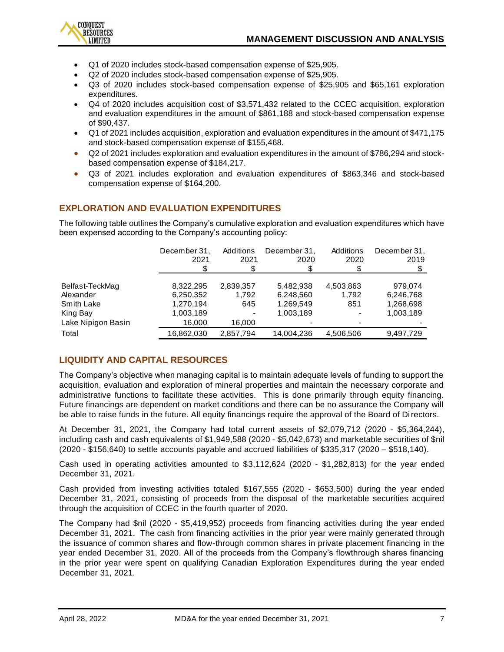

- Q1 of 2020 includes stock-based compensation expense of \$25,905.
- Q2 of 2020 includes stock-based compensation expense of \$25,905.
- Q3 of 2020 includes stock-based compensation expense of \$25,905 and \$65,161 exploration expenditures.
- Q4 of 2020 includes acquisition cost of \$3,571,432 related to the CCEC acquisition, exploration and evaluation expenditures in the amount of \$861,188 and stock-based compensation expense of \$90,437.
- Q1 of 2021 includes acquisition, exploration and evaluation expenditures in the amount of \$471,175 and stock-based compensation expense of \$155,468.
- Q2 of 2021 includes exploration and evaluation expenditures in the amount of \$786,294 and stockbased compensation expense of \$184,217.
- Q3 of 2021 includes exploration and evaluation expenditures of \$863,346 and stock-based compensation expense of \$164,200.

## **EXPLORATION AND EVALUATION EXPENDITURES**

The following table outlines the Company's cumulative exploration and evaluation expenditures which have been expensed according to the Company's accounting policy:

|                    | December 31,<br>2021 | Additions<br>2021 | December 31.<br>2020 | Additions<br>2020 | December 31,<br>2019 |
|--------------------|----------------------|-------------------|----------------------|-------------------|----------------------|
| Belfast-TeckMag    | 8,322,295            | 2,839,357         | 5,482,938            | 4,503,863         | 979.074              |
| Alexander          | 6,250,352            | 1,792             | 6,248,560            | 1.792             | 6,246,768            |
| Smith Lake         | 1,270,194            | 645               | 1,269,549            | 851               | 1,268,698            |
| King Bay           | 1,003,189            |                   | 1,003,189            |                   | 1,003,189            |
| Lake Nipigon Basin | 16,000               | 16,000            |                      |                   |                      |
| Total              | 16,862,030           | 2,857,794         | 14,004,236           | 4,506,506         | 9,497,729            |

## **LIQUIDITY AND CAPITAL RESOURCES**

The Company's objective when managing capital is to maintain adequate levels of funding to support the acquisition, evaluation and exploration of mineral properties and maintain the necessary corporate and administrative functions to facilitate these activities. This is done primarily through equity financing. Future financings are dependent on market conditions and there can be no assurance the Company will be able to raise funds in the future. All equity financings require the approval of the Board of Directors.

At December 31, 2021, the Company had total current assets of \$2,079,712 (2020 - \$5,364,244), including cash and cash equivalents of \$1,949,588 (2020 - \$5,042,673) and marketable securities of \$nil (2020 - \$156,640) to settle accounts payable and accrued liabilities of \$335,317 (2020 – \$518,140).

Cash used in operating activities amounted to \$3,112,624 (2020 - \$1,282,813) for the year ended December 31, 2021.

Cash provided from investing activities totaled \$167,555 (2020 - \$653,500) during the year ended December 31, 2021, consisting of proceeds from the disposal of the marketable securities acquired through the acquisition of CCEC in the fourth quarter of 2020.

The Company had \$nil (2020 - \$5,419,952) proceeds from financing activities during the year ended December 31, 2021. The cash from financing activities in the prior year were mainly generated through the issuance of common shares and flow-through common shares in private placement financing in the year ended December 31, 2020. All of the proceeds from the Company's flowthrough shares financing in the prior year were spent on qualifying Canadian Exploration Expenditures during the year ended December 31, 2021.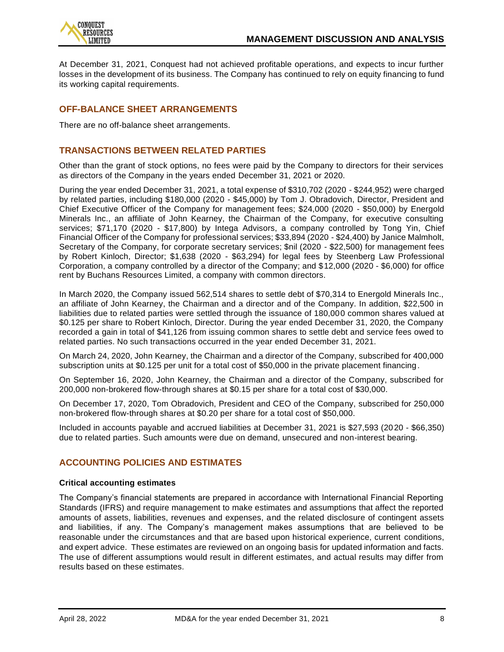

At December 31, 2021, Conquest had not achieved profitable operations, and expects to incur further losses in the development of its business. The Company has continued to rely on equity financing to fund its working capital requirements.

## **OFF-BALANCE SHEET ARRANGEMENTS**

There are no off-balance sheet arrangements.

## **TRANSACTIONS BETWEEN RELATED PARTIES**

Other than the grant of stock options, no fees were paid by the Company to directors for their services as directors of the Company in the years ended December 31, 2021 or 2020.

During the year ended December 31, 2021, a total expense of \$310,702 (2020 - \$244,952) were charged by related parties, including \$180,000 (2020 - \$45,000) by Tom J. Obradovich, Director, President and Chief Executive Officer of the Company for management fees; \$24,000 (2020 - \$50,000) by Energold Minerals Inc., an affiliate of John Kearney, the Chairman of the Company, for executive consulting services; \$71,170 (2020 - \$17,800) by Intega Advisors, a company controlled by Tong Yin, Chief Financial Officer of the Company for professional services; \$33,894 (2020 - \$24,400) by Janice Malmholt, Secretary of the Company, for corporate secretary services; \$nil (2020 - \$22,500) for management fees by Robert Kinloch, Director; \$1,638 (2020 - \$63,294) for legal fees by Steenberg Law Professional Corporation, a company controlled by a director of the Company; and \$12,000 (2020 - \$6,000) for office rent by Buchans Resources Limited, a company with common directors.

In March 2020, the Company issued 562,514 shares to settle debt of \$70,314 to Energold Minerals Inc., an affiliate of John Kearney, the Chairman and a director and of the Company. In addition, \$22,500 in liabilities due to related parties were settled through the issuance of 180,000 common shares valued at \$0.125 per share to Robert Kinloch, Director. During the year ended December 31, 2020, the Company recorded a gain in total of \$41,126 from issuing common shares to settle debt and service fees owed to related parties. No such transactions occurred in the year ended December 31, 2021.

On March 24, 2020, John Kearney, the Chairman and a director of the Company, subscribed for 400,000 subscription units at \$0.125 per unit for a total cost of \$50,000 in the private placement financing.

On September 16, 2020, John Kearney, the Chairman and a director of the Company, subscribed for 200,000 non-brokered flow-through shares at \$0.15 per share for a total cost of \$30,000.

On December 17, 2020, Tom Obradovich, President and CEO of the Company, subscribed for 250,000 non-brokered flow-through shares at \$0.20 per share for a total cost of \$50,000.

Included in accounts payable and accrued liabilities at December 31, 2021 is \$27,593 (2020 - \$66,350) due to related parties. Such amounts were due on demand, unsecured and non-interest bearing.

## **ACCOUNTING POLICIES AND ESTIMATES**

#### **Critical accounting estimates**

The Company's financial statements are prepared in accordance with International Financial Reporting Standards (IFRS) and require management to make estimates and assumptions that affect the reported amounts of assets, liabilities, revenues and expenses, and the related disclosure of contingent assets and liabilities, if any. The Company's management makes assumptions that are believed to be reasonable under the circumstances and that are based upon historical experience, current conditions, and expert advice. These estimates are reviewed on an ongoing basis for updated information and facts. The use of different assumptions would result in different estimates, and actual results may differ from results based on these estimates.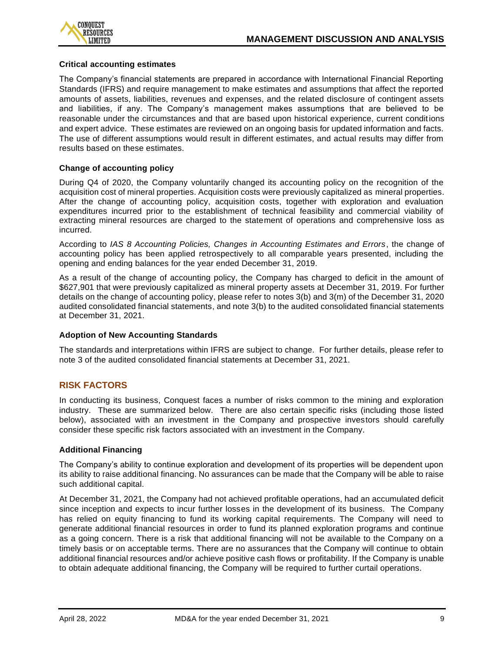

#### **Critical accounting estimates**

The Company's financial statements are prepared in accordance with International Financial Reporting Standards (IFRS) and require management to make estimates and assumptions that affect the reported amounts of assets, liabilities, revenues and expenses, and the related disclosure of contingent assets and liabilities, if any. The Company's management makes assumptions that are believed to be reasonable under the circumstances and that are based upon historical experience, current conditions and expert advice. These estimates are reviewed on an ongoing basis for updated information and facts. The use of different assumptions would result in different estimates, and actual results may differ from results based on these estimates.

#### **Change of accounting policy**

During Q4 of 2020, the Company voluntarily changed its accounting policy on the recognition of the acquisition cost of mineral properties. Acquisition costs were previously capitalized as mineral properties. After the change of accounting policy, acquisition costs, together with exploration and evaluation expenditures incurred prior to the establishment of technical feasibility and commercial viability of extracting mineral resources are charged to the statement of operations and comprehensive loss as incurred.

According to *IAS 8 Accounting Policies, Changes in Accounting Estimates and Errors*, the change of accounting policy has been applied retrospectively to all comparable years presented, including the opening and ending balances for the year ended December 31, 2019.

As a result of the change of accounting policy, the Company has charged to deficit in the amount of \$627,901 that were previously capitalized as mineral property assets at December 31, 2019. For further details on the change of accounting policy, please refer to notes 3(b) and 3(m) of the December 31, 2020 audited consolidated financial statements, and note 3(b) to the audited consolidated financial statements at December 31, 2021.

#### **Adoption of New Accounting Standards**

The standards and interpretations within IFRS are subject to change. For further details, please refer to note 3 of the audited consolidated financial statements at December 31, 2021.

## **RISK FACTORS**

In conducting its business, Conquest faces a number of risks common to the mining and exploration industry. These are summarized below. There are also certain specific risks (including those listed below), associated with an investment in the Company and prospective investors should carefully consider these specific risk factors associated with an investment in the Company.

#### **Additional Financing**

The Company's ability to continue exploration and development of its properties will be dependent upon its ability to raise additional financing. No assurances can be made that the Company will be able to raise such additional capital.

At December 31, 2021, the Company had not achieved profitable operations, had an accumulated deficit since inception and expects to incur further losses in the development of its business. The Company has relied on equity financing to fund its working capital requirements. The Company will need to generate additional financial resources in order to fund its planned exploration programs and continue as a going concern. There is a risk that additional financing will not be available to the Company on a timely basis or on acceptable terms. There are no assurances that the Company will continue to obtain additional financial resources and/or achieve positive cash flows or profitability. If the Company is unable to obtain adequate additional financing, the Company will be required to further curtail operations.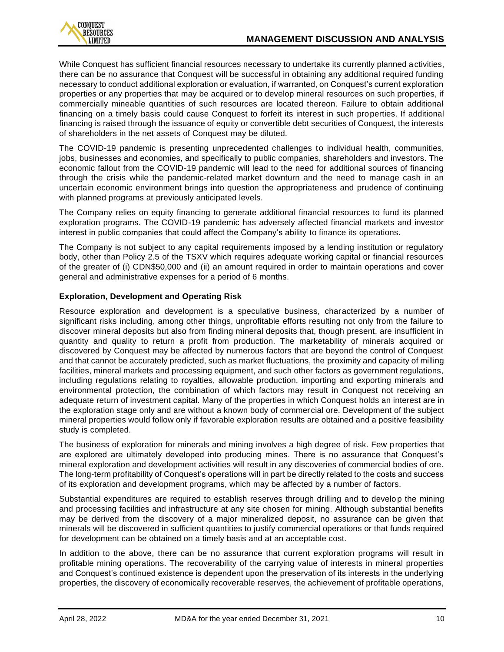While Conquest has sufficient financial resources necessary to undertake its currently planned activities, there can be no assurance that Conquest will be successful in obtaining any additional required funding necessary to conduct additional exploration or evaluation, if warranted, on Conquest's current exploration properties or any properties that may be acquired or to develop mineral resources on such properties, if commercially mineable quantities of such resources are located thereon. Failure to obtain additional financing on a timely basis could cause Conquest to forfeit its interest in such properties. If additional financing is raised through the issuance of equity or convertible debt securities of Conquest, the interests of shareholders in the net assets of Conquest may be diluted.

The COVID-19 pandemic is presenting unprecedented challenges to individual health, communities, jobs, businesses and economies, and specifically to public companies, shareholders and investors. The economic fallout from the COVID-19 pandemic will lead to the need for additional sources of financing through the crisis while the pandemic-related market downturn and the need to manage cash in an uncertain economic environment brings into question the appropriateness and prudence of continuing with planned programs at previously anticipated levels.

The Company relies on equity financing to generate additional financial resources to fund its planned exploration programs. The COVID-19 pandemic has adversely affected financial markets and investor interest in public companies that could affect the Company's ability to finance its operations.

The Company is not subject to any capital requirements imposed by a lending institution or regulatory body, other than Policy 2.5 of the TSXV which requires adequate working capital or financial resources of the greater of (i) CDN\$50,000 and (ii) an amount required in order to maintain operations and cover general and administrative expenses for a period of 6 months.

## **Exploration, Development and Operating Risk**

Resource exploration and development is a speculative business, characterized by a number of significant risks including, among other things, unprofitable efforts resulting not only from the failure to discover mineral deposits but also from finding mineral deposits that, though present, are insufficient in quantity and quality to return a profit from production. The marketability of minerals acquired or discovered by Conquest may be affected by numerous factors that are beyond the control of Conquest and that cannot be accurately predicted, such as market fluctuations, the proximity and capacity of milling facilities, mineral markets and processing equipment, and such other factors as government regulations, including regulations relating to royalties, allowable production, importing and exporting minerals and environmental protection, the combination of which factors may result in Conquest not receiving an adequate return of investment capital. Many of the properties in which Conquest holds an interest are in the exploration stage only and are without a known body of commercial ore. Development of the subject mineral properties would follow only if favorable exploration results are obtained and a positive feasibility study is completed.

The business of exploration for minerals and mining involves a high degree of risk. Few properties that are explored are ultimately developed into producing mines. There is no assurance that Conquest's mineral exploration and development activities will result in any discoveries of commercial bodies of ore. The long-term profitability of Conquest's operations will in part be directly related to the costs and success of its exploration and development programs, which may be affected by a number of factors.

Substantial expenditures are required to establish reserves through drilling and to develop the mining and processing facilities and infrastructure at any site chosen for mining. Although substantial benefits may be derived from the discovery of a major mineralized deposit, no assurance can be given that minerals will be discovered in sufficient quantities to justify commercial operations or that funds required for development can be obtained on a timely basis and at an acceptable cost.

In addition to the above, there can be no assurance that current exploration programs will result in profitable mining operations. The recoverability of the carrying value of interests in mineral properties and Conquest's continued existence is dependent upon the preservation of its interests in the underlying properties, the discovery of economically recoverable reserves, the achievement of profitable operations,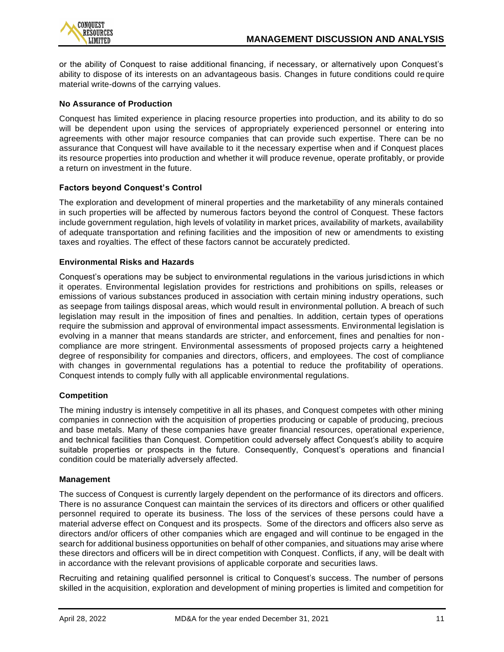

or the ability of Conquest to raise additional financing, if necessary, or alternatively upon Conquest's ability to dispose of its interests on an advantageous basis. Changes in future conditions could require material write-downs of the carrying values.

## **No Assurance of Production**

Conquest has limited experience in placing resource properties into production, and its ability to do so will be dependent upon using the services of appropriately experienced personnel or entering into agreements with other major resource companies that can provide such expertise. There can be no assurance that Conquest will have available to it the necessary expertise when and if Conquest places its resource properties into production and whether it will produce revenue, operate profitably, or provide a return on investment in the future.

## **Factors beyond Conquest's Control**

The exploration and development of mineral properties and the marketability of any minerals contained in such properties will be affected by numerous factors beyond the control of Conquest. These factors include government regulation, high levels of volatility in market prices, availability of markets, availability of adequate transportation and refining facilities and the imposition of new or amendments to existing taxes and royalties. The effect of these factors cannot be accurately predicted.

## **Environmental Risks and Hazards**

Conquest's operations may be subject to environmental regulations in the various jurisdictions in which it operates. Environmental legislation provides for restrictions and prohibitions on spills, releases or emissions of various substances produced in association with certain mining industry operations, such as seepage from tailings disposal areas, which would result in environmental pollution. A breach of such legislation may result in the imposition of fines and penalties. In addition, certain types of operations require the submission and approval of environmental impact assessments. Environmental legislation is evolving in a manner that means standards are stricter, and enforcement, fines and penalties for non compliance are more stringent. Environmental assessments of proposed projects carry a heightened degree of responsibility for companies and directors, officers, and employees. The cost of compliance with changes in governmental regulations has a potential to reduce the profitability of operations. Conquest intends to comply fully with all applicable environmental regulations.

#### **Competition**

The mining industry is intensely competitive in all its phases, and Conquest competes with other mining companies in connection with the acquisition of properties producing or capable of producing, precious and base metals. Many of these companies have greater financial resources, operational experience, and technical facilities than Conquest. Competition could adversely affect Conquest's ability to acquire suitable properties or prospects in the future. Consequently, Conquest's operations and financial condition could be materially adversely affected.

#### **Management**

The success of Conquest is currently largely dependent on the performance of its directors and officers. There is no assurance Conquest can maintain the services of its directors and officers or other qualified personnel required to operate its business. The loss of the services of these persons could have a material adverse effect on Conquest and its prospects. Some of the directors and officers also serve as directors and/or officers of other companies which are engaged and will continue to be engaged in the search for additional business opportunities on behalf of other companies, and situations may arise where these directors and officers will be in direct competition with Conquest. Conflicts, if any, will be dealt with in accordance with the relevant provisions of applicable corporate and securities laws.

Recruiting and retaining qualified personnel is critical to Conquest's success. The number of persons skilled in the acquisition, exploration and development of mining properties is limited and competition for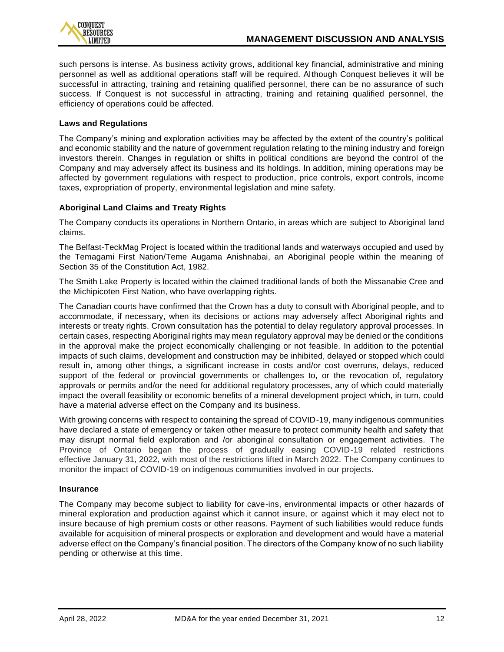

such persons is intense. As business activity grows, additional key financial, administrative and mining personnel as well as additional operations staff will be required. Although Conquest believes it will be successful in attracting, training and retaining qualified personnel, there can be no assurance of such success. If Conquest is not successful in attracting, training and retaining qualified personnel, the efficiency of operations could be affected.

## **Laws and Regulations**

The Company's mining and exploration activities may be affected by the extent of the country's political and economic stability and the nature of government regulation relating to the mining industry and foreign investors therein. Changes in regulation or shifts in political conditions are beyond the control of the Company and may adversely affect its business and its holdings. In addition, mining operations may be affected by government regulations with respect to production, price controls, export controls, income taxes, expropriation of property, environmental legislation and mine safety.

## **Aboriginal Land Claims and Treaty Rights**

The Company conducts its operations in Northern Ontario, in areas which are subject to Aboriginal land claims.

The Belfast-TeckMag Project is located within the traditional lands and waterways occupied and used by the Temagami First Nation/Teme Augama Anishnabai, an Aboriginal people within the meaning of Section 35 of the Constitution Act, 1982.

The Smith Lake Property is located within the claimed traditional lands of both the Missanabie Cree and the Michipicoten First Nation, who have overlapping rights.

The Canadian courts have confirmed that the Crown has a duty to consult with Aboriginal people, and to accommodate, if necessary, when its decisions or actions may adversely affect Aboriginal rights and interests or treaty rights. Crown consultation has the potential to delay regulatory approval processes. In certain cases, respecting Aboriginal rights may mean regulatory approval may be denied or the conditions in the approval make the project economically challenging or not feasible. In addition to the potential impacts of such claims, development and construction may be inhibited, delayed or stopped which could result in, among other things, a significant increase in costs and/or cost overruns, delays, reduced support of the federal or provincial governments or challenges to, or the revocation of, regulatory approvals or permits and/or the need for additional regulatory processes, any of which could materially impact the overall feasibility or economic benefits of a mineral development project which, in turn, could have a material adverse effect on the Company and its business.

With growing concerns with respect to containing the spread of COVID-19, many indigenous communities have declared a state of emergency or taken other measure to protect community health and safety that may disrupt normal field exploration and /or aboriginal consultation or engagement activities. The Province of Ontario began the process of gradually easing COVID-19 related restrictions effective January 31, 2022, with most of the restrictions lifted in March 2022. The Company continues to monitor the impact of COVID-19 on indigenous communities involved in our projects.

#### **Insurance**

The Company may become subject to liability for cave-ins, environmental impacts or other hazards of mineral exploration and production against which it cannot insure, or against which it may elect not to insure because of high premium costs or other reasons. Payment of such liabilities would reduce funds available for acquisition of mineral prospects or exploration and development and would have a material adverse effect on the Company's financial position. The directors of the Company know of no such liability pending or otherwise at this time.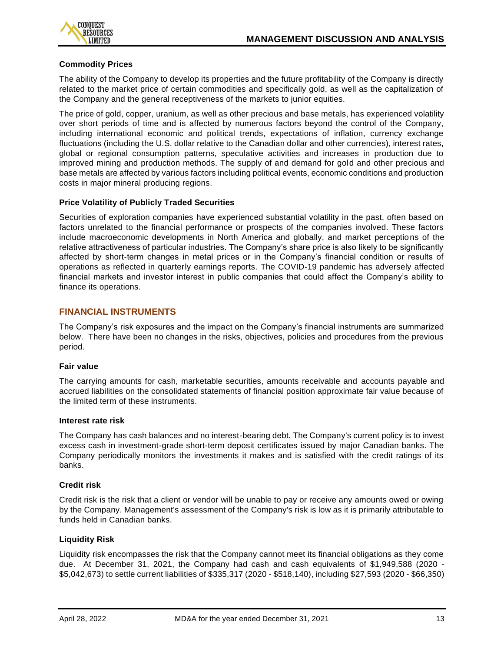

## **Commodity Prices**

The ability of the Company to develop its properties and the future profitability of the Company is directly related to the market price of certain commodities and specifically gold, as well as the capitalization of the Company and the general receptiveness of the markets to junior equities.

The price of gold, copper, uranium, as well as other precious and base metals, has experienced volatility over short periods of time and is affected by numerous factors beyond the control of the Company, including international economic and political trends, expectations of inflation, currency exchange fluctuations (including the U.S. dollar relative to the Canadian dollar and other currencies), interest rates, global or regional consumption patterns, speculative activities and increases in production due to improved mining and production methods. The supply of and demand for gold and other precious and base metals are affected by various factors including political events, economic conditions and production costs in major mineral producing regions.

#### **Price Volatility of Publicly Traded Securities**

Securities of exploration companies have experienced substantial volatility in the past, often based on factors unrelated to the financial performance or prospects of the companies involved. These factors include macroeconomic developments in North America and globally, and market perceptions of the relative attractiveness of particular industries. The Company's share price is also likely to be significantly affected by short-term changes in metal prices or in the Company's financial condition or results of operations as reflected in quarterly earnings reports. The COVID-19 pandemic has adversely affected financial markets and investor interest in public companies that could affect the Company's ability to finance its operations.

## **FINANCIAL INSTRUMENTS**

The Company's risk exposures and the impact on the Company's financial instruments are summarized below. There have been no changes in the risks, objectives, policies and procedures from the previous period.

#### **Fair value**

The carrying amounts for cash, marketable securities, amounts receivable and accounts payable and accrued liabilities on the consolidated statements of financial position approximate fair value because of the limited term of these instruments.

#### **Interest rate risk**

The Company has cash balances and no interest-bearing debt. The Company's current policy is to invest excess cash in investment-grade short-term deposit certificates issued by major Canadian banks. The Company periodically monitors the investments it makes and is satisfied with the credit ratings of its banks.

#### **Credit risk**

Credit risk is the risk that a client or vendor will be unable to pay or receive any amounts owed or owing by the Company. Management's assessment of the Company's risk is low as it is primarily attributable to funds held in Canadian banks.

## **Liquidity Risk**

Liquidity risk encompasses the risk that the Company cannot meet its financial obligations as they come due. At December 31, 2021, the Company had cash and cash equivalents of \$1,949,588 (2020 - \$5,042,673) to settle current liabilities of \$335,317 (2020 - \$518,140), including \$27,593 (2020 - \$66,350)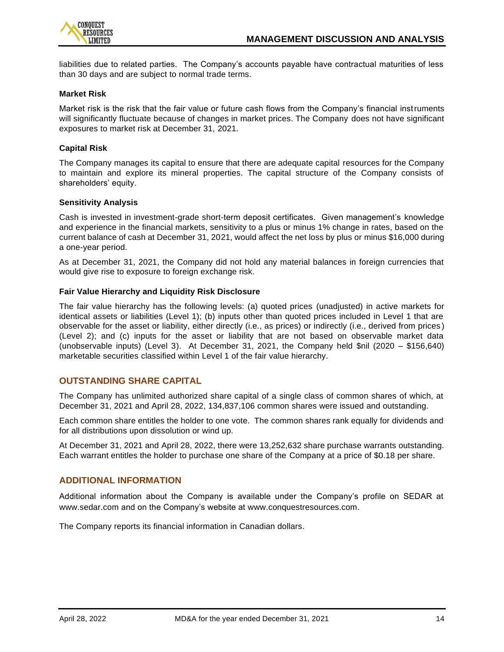

liabilities due to related parties. The Company's accounts payable have contractual maturities of less than 30 days and are subject to normal trade terms.

#### **Market Risk**

Market risk is the risk that the fair value or future cash flows from the Company's financial instruments will significantly fluctuate because of changes in market prices. The Company does not have significant exposures to market risk at December 31, 2021.

## **Capital Risk**

The Company manages its capital to ensure that there are adequate capital resources for the Company to maintain and explore its mineral properties. The capital structure of the Company consists of shareholders' equity.

#### **Sensitivity Analysis**

Cash is invested in investment-grade short-term deposit certificates. Given management's knowledge and experience in the financial markets, sensitivity to a plus or minus 1% change in rates, based on the current balance of cash at December 31, 2021, would affect the net loss by plus or minus \$16,000 during a one-year period.

As at December 31, 2021, the Company did not hold any material balances in foreign currencies that would give rise to exposure to foreign exchange risk.

#### **Fair Value Hierarchy and Liquidity Risk Disclosure**

The fair value hierarchy has the following levels: (a) quoted prices (unadjusted) in active markets for identical assets or liabilities (Level 1); (b) inputs other than quoted prices included in Level 1 that are observable for the asset or liability, either directly (i.e., as prices) or indirectly (i.e., derived from prices ) (Level 2); and (c) inputs for the asset or liability that are not based on observable market data (unobservable inputs) (Level 3). At December 31, 2021, the Company held \$nil (2020 – \$156,640) marketable securities classified within Level 1 of the fair value hierarchy.

## **OUTSTANDING SHARE CAPITAL**

The Company has unlimited authorized share capital of a single class of common shares of which, at December 31, 2021 and April 28, 2022, 134,837,106 common shares were issued and outstanding.

Each common share entitles the holder to one vote. The common shares rank equally for dividends and for all distributions upon dissolution or wind up.

At December 31, 2021 and April 28, 2022, there were 13,252,632 share purchase warrants outstanding. Each warrant entitles the holder to purchase one share of the Company at a price of \$0.18 per share.

## **ADDITIONAL INFORMATION**

Additional information about the Company is available under the Company's profile on SEDAR at [www.sedar.com](http://www.sedar.com/) and on the Company's website at [www.conquestresources.com.](http://www.conquestresources.com/)

The Company reports its financial information in Canadian dollars.